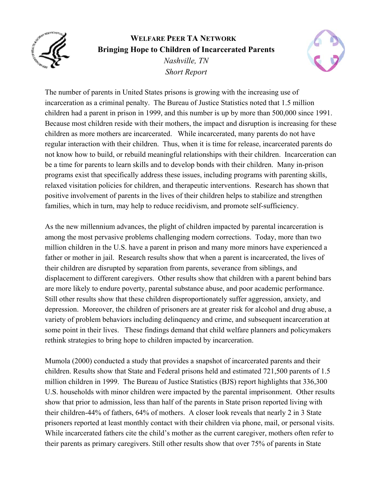

## **WELFARE PEER TA NETWORK Bringing Hope to Children of Incarcerated Parents**  *Nashville, TN Short Report*



The number of parents in United States prisons is growing with the increasing use of incarceration as a criminal penalty. The Bureau of Justice Statistics noted that 1.5 million children had a parent in prison in 1999, and this number is up by more than 500,000 since 1991. Because most children reside with their mothers, the impact and disruption is increasing for these children as more mothers are incarcerated. While incarcerated, many parents do not have regular interaction with their children. Thus, when it is time for release, incarcerated parents do not know how to build, or rebuild meaningful relationships with their children. Incarceration can be a time for parents to learn skills and to develop bonds with their children. Many in-prison programs exist that specifically address these issues, including programs with parenting skills, relaxed visitation policies for children, and therapeutic interventions. Research has shown that positive involvement of parents in the lives of their children helps to stabilize and strengthen families, which in turn, may help to reduce recidivism, and promote self-sufficiency.

As the new millennium advances, the plight of children impacted by parental incarceration is among the most pervasive problems challenging modern corrections. Today, more than two million children in the U.S. have a parent in prison and many more minors have experienced a father or mother in jail. Research results show that when a parent is incarcerated, the lives of their children are disrupted by separation from parents, severance from siblings, and displacement to different caregivers. Other results show that children with a parent behind bars are more likely to endure poverty, parental substance abuse, and poor academic performance. Still other results show that these children disproportionately suffer aggression, anxiety, and depression. Moreover, the children of prisoners are at greater risk for alcohol and drug abuse, a variety of problem behaviors including delinquency and crime, and subsequent incarceration at some point in their lives. These findings demand that child welfare planners and policymakers rethink strategies to bring hope to children impacted by incarceration.

Mumola (2000) conducted a study that provides a snapshot of incarcerated parents and their children. Results show that State and Federal prisons held and estimated 721,500 parents of 1.5 million children in 1999. The Bureau of Justice Statistics (BJS) report highlights that 336,300 U.S. households with minor children were impacted by the parental imprisonment. Other results show that prior to admission, less than half of the parents in State prison reported living with their children-44% of fathers, 64% of mothers. A closer look reveals that nearly 2 in 3 State prisoners reported at least monthly contact with their children via phone, mail, or personal visits. While incarcerated fathers cite the child's mother as the current caregiver, mothers often refer to their parents as primary caregivers. Still other results show that over 75% of parents in State